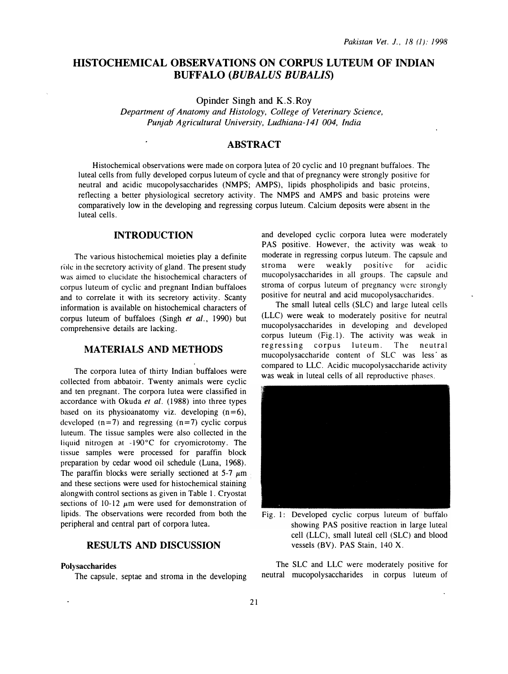# HISTOCHEMICAL OBSERVATIONS ON CORPUS LUTEUM OF INDIAN BUFFALO (BUBALUS BUBALIS)

Opinder Singh and K.S.Roy

Department of Anatomy and Histology, College of Veterinary Science, Punjab Agricultural University, Ludhiana-141 004, India

# ABSTRACT

Histochemical observations were made on corpora lutea of 20 cyclic and 10 pregnant buffaloes. The luteal cells from fully developed corpus luteum of cycle and that of pregnancy were strongly positive for neutral and acidic mucopolysaccharides (NMPS; AMPS), lipids phospholipids and basic proteins, reflecting a better physiological secretory activity. The NMPS and AMPS and basic proteins were comparatively low in the developing and regressing corpus luteum. Calcium deposits were absent in the luteal cells.

# INTRODUCTION

 $\ddot{\phantom{a}}$ 

The various histochemical moieties play a definite role in the secretory activity of gland. The present study was aimed to elucidate the histochemical characters of corpus luteum of cyclic and pregnant Indian buffaloes and to correlate it with its secretory activity. Scanty information is available on histochemical characters of corpus luteum of buffaloes (Singh et al., 1990) but comprehensive details are lacking.

### MATERIALS AND METHODS

The corpora lutea of thirty Indian buffaloes were collected from abbatoir. Twenty animals were cyclic and ten pregnant. The corpora lutea were classified in accordance with Okuda et al. (1988) into three types based on its physioanatomy viz. developing  $(n=6)$ , developed  $(n=7)$  and regressing  $(n=7)$  cyclic corpus luteum. The tissue samples were also collected in the liquid nitrogen at -l90°C for cryomicrotomy. The tissue samples were processed for paraffin block preparation by cedar wood oil schedule (Luna, 1968). The paraffin blocks were serially sectioned at  $5-7 \mu m$ and these sections were used for histochemical staining alongwith control sections as given in Table 1. Cryostat sections of 10-12  $\mu$ m were used for demonstration of lipids. The observations were recorded from both the peripheral and central part of corpora lutea.

# RESULTS AND DISCUSSION

#### Polysaccharides

The capsule, septae and stroma in the developing

and developed cyclic corpora lutea were moderately PAS positive. However, the activity was weak to moderate in regressing corpus luteum. The capsule and stroma were weakly positive for acidic mucopolysaccharides in all groups. The capsule and stroma of corpus luteum of pregnancy were strongly positive for neutral and acid mucopolysaccharides.

The small luteal cells (SLC) and large luteal cells (LLC) were weak to moderately positive for neutral mucopolysaccharides in developing and developed corpus luteum (Fig. l). The activity was weak in regressing corpus luteum. The neutral mucopolysaccharide content of SLC was less· as compared to LLC. Acidic mucopolysaccharide activity was weak in luteal cells of all reproductive phases.



Fig. 1: Developed cyclic corpus luteum of buffalo showing PAS positive reaction in large luteal cell (LLC), small luteal cell (SLC) and blood vessels (BV). PAS Stain, 140 X.

The SLC and LLC were moderately positive for neutral mucopolysaccharides in corpus luteum of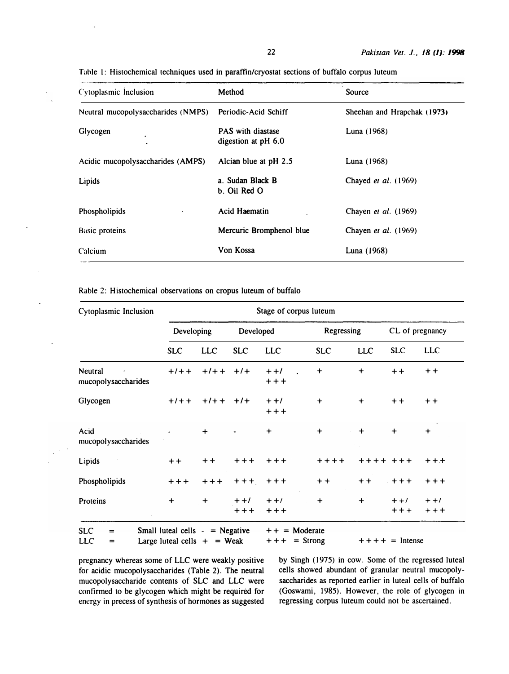| Cytoplasmic Inclusion              | Method                                          | Source                      |
|------------------------------------|-------------------------------------------------|-----------------------------|
| Neutral mucopolysaccharides (NMPS) | Periodic-Acid Schiff                            | Sheehan and Hrapchak (1973) |
| Glycogen<br>٠                      | <b>PAS</b> with diastase<br>digestion at pH 6.0 | Luna (1968)                 |
| Acidic mucopolysaccharides (AMPS)  | Alcian blue at pH 2.5                           | Luna (1968)                 |
| Lipids                             | a. Sudan Black B<br>b. Oil Red O                | Chayed et al. (1969)        |
| Phospholipids                      | Acid Haematin                                   | Chayen et al. (1969)        |
| <b>Basic proteins</b>              | Mercuric Bromphenol blue                        | Chayen et al. (1969)        |
| Calcium                            | Von Kossa                                       | Luna (1968)                 |

Tahle I: Histochemical techniques used in paraffin/cryostat sections of buffalo corpus luteum

Rabie 2: Histochemical observations on cropus luteum of buffalo

| Cytoplasmic Inclusion                | Stage of corpus luteum                 |               |             |                                                                                    |            |                    |                   |                  |  |
|--------------------------------------|----------------------------------------|---------------|-------------|------------------------------------------------------------------------------------|------------|--------------------|-------------------|------------------|--|
|                                      | Developing                             |               | Developed   |                                                                                    | Regressing |                    | CL of pregnancy   |                  |  |
|                                      | <b>SLC</b>                             | <b>LLC</b>    | <b>SLC</b>  | <b>LLC</b>                                                                         | <b>SLC</b> | <b>LLC</b>         | <b>SLC</b>        | <b>LLC</b>       |  |
| Neutral<br>mucopolysaccharides       | $+7+$                                  | $+1$ + + $+1$ |             | $++1$<br>$+ + +$                                                                   | $\ddot{}$  | $\ddot{}$          | $+ +$             | $++$             |  |
| Glycogen                             | $+/- +$                                | $+1$ + + $+1$ |             | $++/-$<br>$++$                                                                     | $\ddot{}$  | $\ddot{}$          | $+ +$             | $+ +$            |  |
| Acid<br>mucopolysaccharides          |                                        | $\ddot{}$     |             | $\ddot{}$                                                                          | $\ddot{}$  | $\ddot{}$          | $\ddot{}$         | $\ddot{}$        |  |
| Lipids                               | $+ +$                                  | $+ +$         | $+ + +$     | $+ + +$                                                                            | $+ + + +$  | $+ + + + + + +$    |                   | $+ + +$          |  |
| Phospholipids                        | $+ + +$                                | $+ + +$       | $+++$ $+++$ |                                                                                    | $+ +$      | $+ +$              | $+ + +$           | $+ + +$          |  |
| Proteins                             | $\ddot{}$                              | $\ddot{}$     | $+ +/$      | $++/-$<br>+++ +++                                                                  | $\ddot{}$  | $+$ $\overline{ }$ | $+ +/$<br>$+ + +$ | $+ +/$<br>$++++$ |  |
| <b>SLC</b><br>$=$<br>$\cdot$ $\cdot$ | Small luteal cells $-$ = Negative<br>. |               |             | $++ =$ Moderate<br>$\mathbf{1}$ and $\mathbf{1}$ and $\mathbf{1}$ and $\mathbf{1}$ |            |                    |                   |                  |  |

LLC = Large luteal cells  $+$  = Weak  $+++$  = Strong

 $++++ =$  Intense

pregnancy whereas some of LLC were weakly positive for acidic mucopolysaccharides (Table 2). The neutral mucopolysaccharide contents of SLC and LLC were confirmed to be glycogen which might be required for energy in precess of synthesis of hormones as suggested by Singh (1975) in cow. Some of the regressed luteal cells showed abundant of granular neutral mucopolysaccharides as reported earlier in luteal cells of buffalo (Goswami, 1985). However, the role of glycogen in regressing corpus luteum could not be ascertained.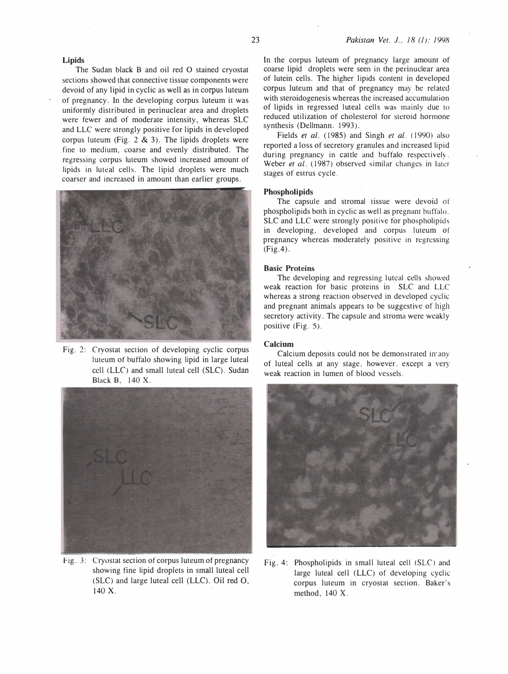### Lipids

The Sudan black B and oil red O stained cryostat sections showed that connective tissue components were devoid of any lipid in cyclic as well as in corpus luteum of pregnancy. In the developing corpus luteum it was uniformly distributed in perinuclear area and droplets were fewer and of moderate intensity, whereas SLC and LLC were strongly positive for lipids in developed . corpus luteum (Fig.  $2 \& 3$ ). The lipids droplets were fine to medium, coarse and evenly distributed. The regressing corpus luteum showed increased amount of lipids in luteal cells. The lipid droplets were much coarser and increased in amount than earlier groups.



Fig. 2: Cryostat section of developing cyclic corpus luteum of buffalo showing lipid in large luteal cell (LLC) and small luteal cell (SLC). Sudan Black B. 140 X.



Fig. 3: Cryostat section of corpus luteum of pregnancy showing fine lipid droplets in small luteal cell (SLC) and large luteal cell (LLC). Oil red 0, 140 X.

In the corpus luteum of pregnancy large amount of coarse lipid droplets were seen in the perinuclear area of lutein cells. The higher lipids content in developed corpus luteum and that of pregnancy may be related with steroidogenesis whereas the increased accumulation of lipids in regressed luteal cells was mainly due to reduced utilization of cholesterol for steroid hormone synthesis (Dellmann. 1993).

Fields et al. (1985) and Singh et al. (1990) also reported a loss of secretory granules and increased lipid during pregnancy in cattle and buffalo respectively. Weber et al. (1987) observed similar changes in later stages of estrus cycle.

#### Phospholipids

The capsule and stromal tissue were devoid of phospholipids both in cyclic as well as pregnant buffalo. SLC and LLC were strongly positive for phospholipids in developing, developed and corpus luteum of pregnancy whereas moderately positive in regressing (Fig.4).

#### Basic Proteins

The developing and regressing luteal cells showed weak reaction for basic proteins in SLC and LLC whereas a strong reaction observed in developed cyclic and pregnant animals appears to be suggestive of high secretory activity. The capsule and stroma were weakly positive (Fig. 5).

#### Calcium

Calcium deposits could not be demonstrated in· any of luteal cells at any stage. however. except a very weak reaction in lumen of blood vessels.



Fig. 4: Phospholipids in small luteal cell (SLC) and large luteal cell (LLC) of developing cyclic corpus luteum in cryostat section. Baker's method, 140 X.